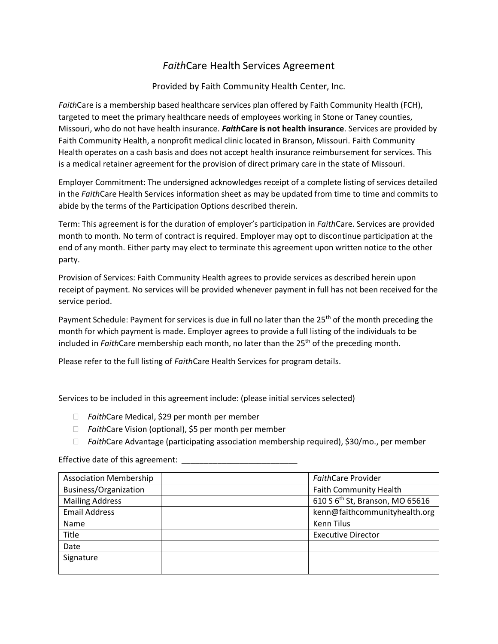## *Faith*Care Health Services Agreement

#### Provided by Faith Community Health Center, Inc.

*Faith*Care is a membership based healthcare services plan offered by Faith Community Health (FCH), targeted to meet the primary healthcare needs of employees working in Stone or Taney counties, Missouri, who do not have health insurance. *Faith***Care is not health insurance**. Services are provided by Faith Community Health, a nonprofit medical clinic located in Branson, Missouri. Faith Community Health operates on a cash basis and does not accept health insurance reimbursement for services. This is a medical retainer agreement for the provision of direct primary care in the state of Missouri.

Employer Commitment: The undersigned acknowledges receipt of a complete listing of services detailed in the *Faith*Care Health Services information sheet as may be updated from time to time and commits to abide by the terms of the Participation Options described therein.

Term: This agreement is for the duration of employer's participation in *Faith*Care. Services are provided month to month. No term of contract is required. Employer may opt to discontinue participation at the end of any month. Either party may elect to terminate this agreement upon written notice to the other party.

Provision of Services: Faith Community Health agrees to provide services as described herein upon receipt of payment. No services will be provided whenever payment in full has not been received for the service period.

Payment Schedule: Payment for services is due in full no later than the 25<sup>th</sup> of the month preceding the month for which payment is made. Employer agrees to provide a full listing of the individuals to be included in *Faith*Care membership each month, no later than the 25th of the preceding month.

Please refer to the full listing of *Faith*Care Health Services for program details.

Services to be included in this agreement include: (please initial services selected)

- *Faith*Care Medical, \$29 per month per member
- *Faith*Care Vision (optional), \$5 per month per member
- *Faith*Care Advantage (participating association membership required), \$30/mo., per member

Effective date of this agreement: \_\_\_\_\_\_\_\_\_\_\_\_

| <b>Association Membership</b> | FaithCare Provider                          |
|-------------------------------|---------------------------------------------|
| Business/Organization         | <b>Faith Community Health</b>               |
| <b>Mailing Address</b>        | 610 S 6 <sup>th</sup> St, Branson, MO 65616 |
| <b>Email Address</b>          | kenn@faithcommunityhealth.org               |
| Name                          | <b>Kenn Tilus</b>                           |
| Title                         | <b>Executive Director</b>                   |
| Date                          |                                             |
| Signature                     |                                             |
|                               |                                             |